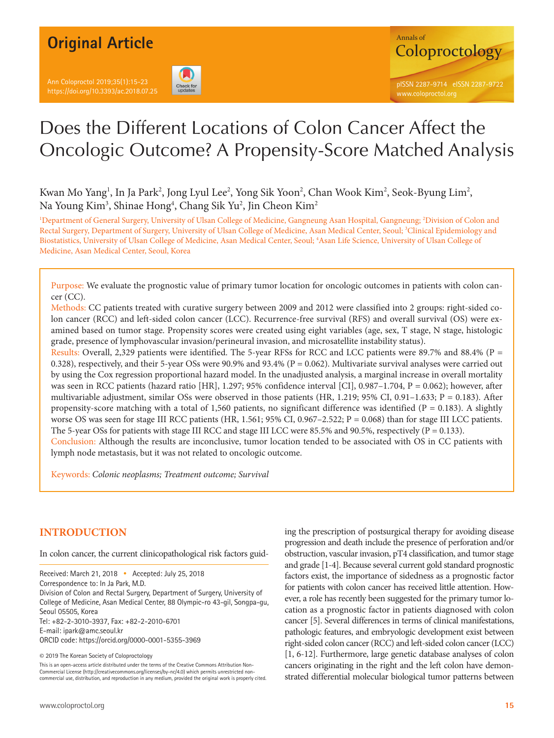# **Original Article**

Ann Coloproctol 2019;35(1):15-23 https://doi.org/10.3393/ac.2018.07.25





# Does the Different Locations of Colon Cancer Affect the Oncologic Outcome? A Propensity-Score Matched Analysis

Kwan Mo Yang<sup>1</sup>, In Ja Park<sup>2</sup>, Jong Lyul Lee<sup>2</sup>, Yong Sik Yoon<sup>2</sup>, Chan Wook Kim<sup>2</sup>, Seok-Byung Lim<sup>2</sup>, Na Young Kim<sup>3</sup>, Shinae Hong<sup>4</sup>, Chang Sik Yu<sup>2</sup>, Jin Cheon Kim<sup>2</sup>

1 Department of General Surgery, University of Ulsan College of Medicine, Gangneung Asan Hospital, Gangneung; 2 Division of Colon and Rectal Surgery, Department of Surgery, University of Ulsan College of Medicine, Asan Medical Center, Seoul; <sup>3</sup>Clinical Epidemiology and Biostatistics, University of Ulsan College of Medicine, Asan Medical Center, Seoul; 4 Asan Life Science, University of Ulsan College of Medicine, Asan Medical Center, Seoul, Korea

Purpose: We evaluate the prognostic value of primary tumor location for oncologic outcomes in patients with colon cancer (CC).

Methods: CC patients treated with curative surgery between 2009 and 2012 were classified into 2 groups: right-sided colon cancer (RCC) and left-sided colon cancer (LCC). Recurrence-free survival (RFS) and overall survival (OS) were examined based on tumor stage. Propensity scores were created using eight variables (age, sex, T stage, N stage, histologic grade, presence of lymphovascular invasion/perineural invasion, and microsatellite instability status).

Results: Overall, 2,329 patients were identified. The 5-year RFSs for RCC and LCC patients were 89.7% and 88.4% (P = 0.328), respectively, and their 5-year OSs were 90.9% and 93.4% (P = 0.062). Multivariate survival analyses were carried out by using the Cox regression proportional hazard model. In the unadjusted analysis, a marginal increase in overall mortality was seen in RCC patients (hazard ratio [HR], 1.297; 95% confidence interval [CI], 0.987–1.704,  $P = 0.062$ ); however, after multivariable adjustment, similar OSs were observed in those patients (HR, 1.219; 95% CI, 0.91–1.633; P = 0.183). After propensity-score matching with a total of 1,560 patients, no significant difference was identified ( $P = 0.183$ ). A slightly worse OS was seen for stage III RCC patients (HR, 1.561; 95% CI, 0.967–2.522; P = 0.068) than for stage III LCC patients. The 5-year OSs for patients with stage III RCC and stage III LCC were 85.5% and 90.5%, respectively (P = 0.133). Conclusion: Although the results are inconclusive, tumor location tended to be associated with OS in CC patients with lymph node metastasis, but it was not related to oncologic outcome.

Keywords: *Colonic neoplasms; Treatment outcome; Survival*

# **INTRODUCTION**

In colon cancer, the current clinicopathological risk factors guid-

Received: March 21, 2018 • Accepted: July 25, 2018 Correspondence to: In Ja Park, M.D. Division of Colon and Rectal Surgery, Department of Surgery, University of College of Medicine, Asan Medical Center, 88 Olympic-ro 43-gil, Songpa-gu, Seoul 05505, Korea Tel: +82-2-3010-3937, Fax: +82-2-2010-6701 E-mail: ipark@amc.seoul.kr

ORCID code: https://orcid.org/0000-0001-5355-3969

© 2019 The Korean Society of Coloproctology

This is an open-access article distributed under the terms of the Creative Commons Attribution Non-Commercial License (http://creativecommons.org/licenses/by-nc/4.0) which permits unrestricted noncommercial use, distribution, and reproduction in any medium, provided the original work is properly cited. ing the prescription of postsurgical therapy for avoiding disease progression and death include the presence of perforation and/or obstruction, vascular invasion, pT4 classification, and tumor stage and grade [1-4]. Because several current gold standard prognostic factors exist, the importance of sidedness as a prognostic factor for patients with colon cancer has received little attention. However, a role has recently been suggested for the primary tumor location as a prognostic factor in patients diagnosed with colon cancer [5]. Several differences in terms of clinical manifestations, pathologic features, and embryologic development exist between right-sided colon cancer (RCC) and left-sided colon cancer (LCC) [1, 6-12]. Furthermore, large genetic database analyses of colon cancers originating in the right and the left colon have demonstrated differential molecular biological tumor patterns between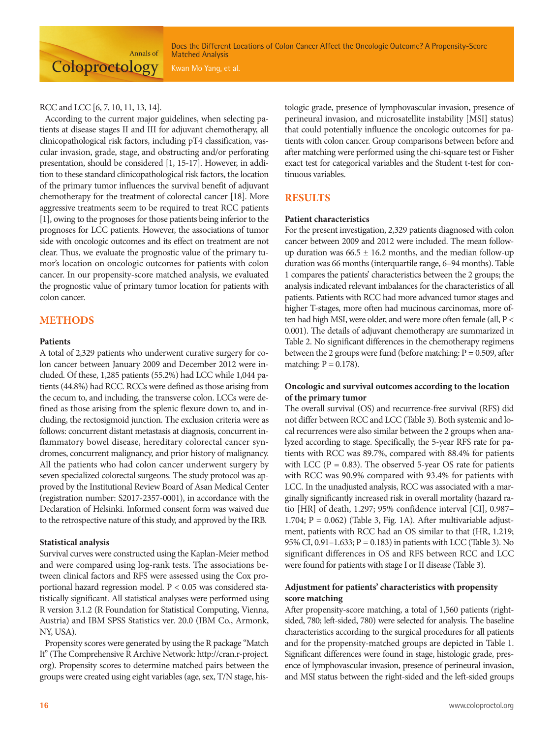#### RCC and LCC [6, 7, 10, 11, 13, 14].

According to the current major guidelines, when selecting patients at disease stages II and III for adjuvant chemotherapy, all clinicopathological risk factors, including pT4 classification, vascular invasion, grade, stage, and obstructing and/or perforating presentation, should be considered [1, 15-17]. However, in addition to these standard clinicopathological risk factors, the location of the primary tumor influences the survival benefit of adjuvant chemotherapy for the treatment of colorectal cancer [18]. More aggressive treatments seem to be required to treat RCC patients [1], owing to the prognoses for those patients being inferior to the prognoses for LCC patients. However, the associations of tumor side with oncologic outcomes and its effect on treatment are not clear. Thus, we evaluate the prognostic value of the primary tumor's location on oncologic outcomes for patients with colon cancer. In our propensity-score matched analysis, we evaluated the prognostic value of primary tumor location for patients with colon cancer.

# **METHODS**

#### **Patients**

A total of 2,329 patients who underwent curative surgery for colon cancer between January 2009 and December 2012 were included. Of these, 1,285 patients (55.2%) had LCC while 1,044 patients (44.8%) had RCC. RCCs were defined as those arising from the cecum to, and including, the transverse colon. LCCs were defined as those arising from the splenic flexure down to, and including, the rectosigmoid junction. The exclusion criteria were as follows: concurrent distant metastasis at diagnosis, concurrent inflammatory bowel disease, hereditary colorectal cancer syndromes, concurrent malignancy, and prior history of malignancy. All the patients who had colon cancer underwent surgery by seven specialized colorectal surgeons. The study protocol was approved by the Institutional Review Board of Asan Medical Center (registration number: S2017-2357-0001), in accordance with the Declaration of Helsinki. Informed consent form was waived due to the retrospective nature of this study, and approved by the IRB.

#### **Statistical analysis**

Survival curves were constructed using the Kaplan-Meier method and were compared using log-rank tests. The associations between clinical factors and RFS were assessed using the Cox proportional hazard regression model. P < 0.05 was considered statistically significant. All statistical analyses were performed using R version 3.1.2 (R Foundation for Statistical Computing, Vienna, Austria) and IBM SPSS Statistics ver. 20.0 (IBM Co., Armonk, NY, USA).

Propensity scores were generated by using the R package ''Match It'' (The Comprehensive R Archive Network: http://cran.r-project. org). Propensity scores to determine matched pairs between the groups were created using eight variables (age, sex, T/N stage, histologic grade, presence of lymphovascular invasion, presence of perineural invasion, and microsatellite instability [MSI] status) that could potentially influence the oncologic outcomes for patients with colon cancer. Group comparisons between before and after matching were performed using the chi-square test or Fisher exact test for categorical variables and the Student t-test for continuous variables.

# **RESULTS**

#### **Patient characteristics**

For the present investigation, 2,329 patients diagnosed with colon cancer between 2009 and 2012 were included. The mean followup duration was  $66.5 \pm 16.2$  months, and the median follow-up duration was 66 months (interquartile range, 6–94 months). Table 1 compares the patients' characteristics between the 2 groups; the analysis indicated relevant imbalances for the characteristics of all patients. Patients with RCC had more advanced tumor stages and higher T-stages, more often had mucinous carcinomas, more often had high MSI, were older, and were more often female (all, P < 0.001). The details of adjuvant chemotherapy are summarized in Table 2. No significant differences in the chemotherapy regimens between the 2 groups were fund (before matching:  $P = 0.509$ , after matching:  $P = 0.178$ ).

#### **Oncologic and survival outcomes according to the location of the primary tumor**

The overall survival (OS) and recurrence-free survival (RFS) did not differ between RCC and LCC (Table 3). Both systemic and local recurrences were also similar between the 2 groups when analyzed according to stage. Specifically, the 5-year RFS rate for patients with RCC was 89.7%, compared with 88.4% for patients with LCC ( $P = 0.83$ ). The observed 5-year OS rate for patients with RCC was 90.9% compared with 93.4% for patients with LCC. In the unadjusted analysis, RCC was associated with a marginally significantly increased risk in overall mortality (hazard ratio [HR] of death, 1.297; 95% confidence interval [CI], 0.987– 1.704;  $P = 0.062$ ) (Table 3, Fig. 1A). After multivariable adjustment, patients with RCC had an OS similar to that (HR, 1.219; 95% CI, 0.91–1.633; P = 0.183) in patients with LCC (Table 3). No significant differences in OS and RFS between RCC and LCC were found for patients with stage I or II disease (Table 3).

#### **Adjustment for patients' characteristics with propensity score matching**

After propensity-score matching, a total of 1,560 patients (rightsided, 780; left-sided, 780) were selected for analysis. The baseline characteristics according to the surgical procedures for all patients and for the propensity-matched groups are depicted in Table 1. Significant differences were found in stage, histologic grade, presence of lymphovascular invasion, presence of perineural invasion, and MSI status between the right-sided and the left-sided groups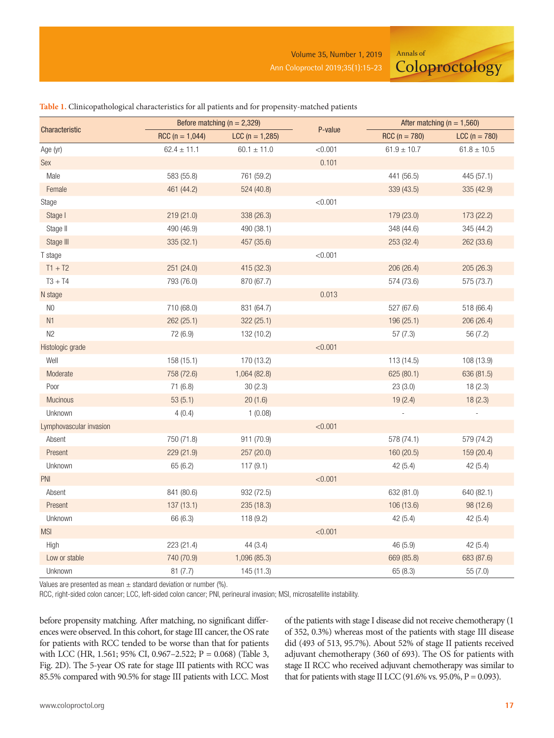Annals of **Coloproctology** 

|                         |                                        | Before matching ( $n = 2,329$ ) |         | After matching ( $n = 1,560$ ) |                 |  |
|-------------------------|----------------------------------------|---------------------------------|---------|--------------------------------|-----------------|--|
| Characteristic          | $RCC (n = 1,044)$<br>$LCC (n = 1,285)$ |                                 | P-value | $RCC (n = 780)$                | $LCC (n = 780)$ |  |
| Age (yr)                | $62.4 \pm 11.1$                        | $60.1 \pm 11.0$                 | < 0.001 | $61.9 \pm 10.7$                | $61.8 \pm 10.5$ |  |
| Sex                     |                                        |                                 | 0.101   |                                |                 |  |
| Male                    | 583 (55.8)                             | 761 (59.2)                      |         | 441 (56.5)                     | 445 (57.1)      |  |
| Female                  | 461 (44.2)                             | 524 (40.8)                      |         | 339 (43.5)                     | 335 (42.9)      |  |
| Stage                   |                                        |                                 | < 0.001 |                                |                 |  |
| Stage I                 | 219 (21.0)                             | 338 (26.3)                      |         | 179 (23.0)                     | 173 (22.2)      |  |
| Stage II                | 490 (46.9)                             | 490 (38.1)                      |         | 348 (44.6)                     | 345 (44.2)      |  |
| Stage III               | 335 (32.1)                             | 457 (35.6)                      |         | 253 (32.4)                     | 262 (33.6)      |  |
| T stage                 |                                        |                                 | < 0.001 |                                |                 |  |
| $T1 + T2$               | 251 (24.0)                             | 415 (32.3)                      |         | 206 (26.4)                     | 205 (26.3)      |  |
| $T3 + T4$               | 793 (76.0)                             | 870 (67.7)                      |         | 574 (73.6)                     | 575 (73.7)      |  |
| N stage                 |                                        |                                 | 0.013   |                                |                 |  |
| $N0$                    | 710 (68.0)                             | 831 (64.7)                      |         | 527 (67.6)                     | 518 (66.4)      |  |
| N1                      | 262 (25.1)                             | 322 (25.1)                      |         | 196 (25.1)                     | 206 (26.4)      |  |
| N2                      | 72 (6.9)                               | 132 (10.2)                      |         | 57(7.3)                        | 56 (7.2)        |  |
| Histologic grade        |                                        |                                 | < 0.001 |                                |                 |  |
| Well                    | 158 (15.1)                             | 170 (13.2)                      |         | 113 (14.5)                     | 108 (13.9)      |  |
| Moderate                | 758 (72.6)                             | 1,064 (82.8)                    |         | 625 (80.1)                     | 636 (81.5)      |  |
| Poor                    | 71 (6.8)                               | 30(2.3)                         |         | 23(3.0)                        | 18(2.3)         |  |
| Mucinous                | 53(5.1)                                | 20(1.6)                         |         | 19(2.4)                        | 18(2.3)         |  |
| Unknown                 | 4(0.4)                                 | 1(0.08)                         |         |                                |                 |  |
| Lymphovascular invasion |                                        |                                 | < 0.001 |                                |                 |  |
| Absent                  | 750 (71.8)                             | 911 (70.9)                      |         | 578 (74.1)                     | 579 (74.2)      |  |
| Present                 | 229 (21.9)                             | 257 (20.0)                      |         | 160 (20.5)                     | 159 (20.4)      |  |
| Unknown                 | 65 (6.2)                               | 117(9.1)                        |         | 42(5.4)                        | 42(5.4)         |  |
| PNI                     |                                        |                                 | < 0.001 |                                |                 |  |
| Absent                  | 841 (80.6)                             | 932 (72.5)                      |         | 632 (81.0)                     | 640 (82.1)      |  |
| Present                 | 137(13.1)                              | 235(18.3)                       |         | 106 (13.6)                     | 98 (12.6)       |  |
| Unknown                 | 66 (6.3)                               | 118 (9.2)                       |         | 42(5.4)                        | 42(5.4)         |  |
| <b>MSI</b>              |                                        |                                 | < 0.001 |                                |                 |  |
| High                    | 223 (21.4)                             | 44(3.4)                         |         | 46 (5.9)                       | 42 (5.4)        |  |
| Low or stable           | 740 (70.9)                             | 1,096 (85.3)                    |         | 669 (85.8)                     | 683 (87.6)      |  |
| Unknown                 | 81(7.7)                                | 145 (11.3)                      |         | 65 (8.3)                       | 55 (7.0)        |  |

#### **Table 1.** Clinicopathological characteristics for all patients and for propensity-matched patients

Values are presented as mean  $\pm$  standard deviation or number (%).

RCC, right-sided colon cancer; LCC, left-sided colon cancer; PNI, perineural invasion; MSI, microsatellite instability.

before propensity matching. After matching, no significant differences were observed. In this cohort, for stage III cancer, the OS rate for patients with RCC tended to be worse than that for patients with LCC (HR, 1.561; 95% CI, 0.967–2.522; P = 0.068) (Table 3, Fig. 2D). The 5-year OS rate for stage III patients with RCC was 85.5% compared with 90.5% for stage III patients with LCC. Most of the patients with stage I disease did not receive chemotherapy (1 of 352, 0.3%) whereas most of the patients with stage III disease did (493 of 513, 95.7%). About 52% of stage II patients received adjuvant chemotherapy (360 of 693). The OS for patients with stage II RCC who received adjuvant chemotherapy was similar to that for patients with stage II LCC (91.6% vs. 95.0%,  $P = 0.093$ ).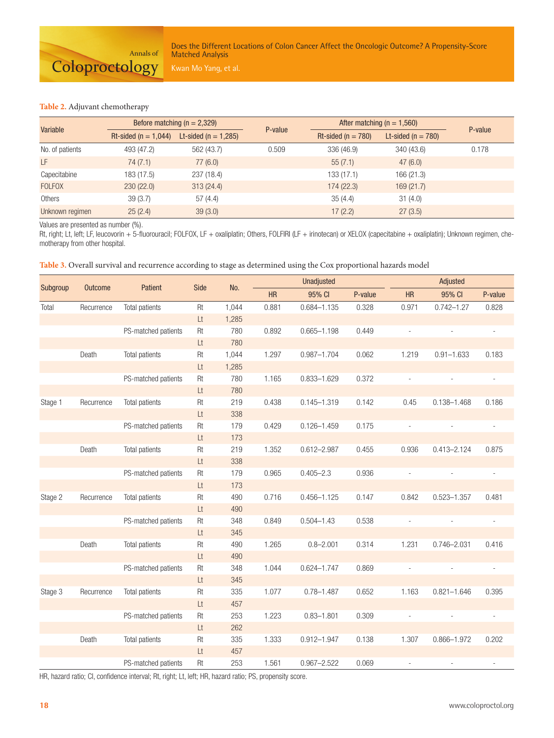#### **Table 2.** Adjuvant chemotherapy

| Variable        |                          | Before matching $(n = 2,329)$ | P-value | After matching ( $n = 1,560$ ) |                        |         |
|-----------------|--------------------------|-------------------------------|---------|--------------------------------|------------------------|---------|
|                 | Rt-sided ( $n = 1,044$ ) | Lt-sided ( $n = 1,285$ )      |         | Rt-sided ( $n = 780$ )         | Lt-sided ( $n = 780$ ) | P-value |
| No. of patients | 493 (47.2)               | 562 (43.7)                    | 0.509   | 336 (46.9)                     | 340 (43.6)             | 0.178   |
| LF              | 74 (7.1)                 | 77 (6.0)                      |         | 55(7.1)                        | 47(6.0)                |         |
| Capecitabine    | 183 (17.5)               | 237 (18.4)                    |         | 133 (17.1)                     | 166(21.3)              |         |
| <b>FOLFOX</b>   | 230(22.0)                | 313(24.4)                     |         | 174(22.3)                      | 169(21.7)              |         |
| Others          | 39(3.7)                  | 57(4.4)                       |         | 35(4.4)                        | 31(4.0)                |         |
| Unknown regimen | 25(2.4)                  | 39(3.0)                       |         | 17(2.2)                        | 27(3.5)                |         |

Values are presented as number (%).

Rt, right; Lt, left; LF, leucovorin + 5-fluorouracil; FOLFOX, LF + oxaliplatin; Others, FOLFIRI (LF + irinotecan) or XELOX (capecitabine + oxaliplatin); Unknown regimen, chemotherapy from other hospital.

**Table 3.** Overall survival and recurrence according to stage as determined using the Cox proportional hazards model

| Subgroup | <b>Outcome</b> | Patient               | Side | No.   | Unadjusted |                 |         | Adjusted       |                 |         |
|----------|----------------|-----------------------|------|-------|------------|-----------------|---------|----------------|-----------------|---------|
|          |                |                       |      |       | <b>HR</b>  | 95% CI          | P-value | <b>HR</b>      | 95% CI          | P-value |
| Total    | Recurrence     | <b>Total patients</b> | Rt   | 1,044 | 0.881      | $0.684 - 1.135$ | 0.328   | 0.971          | $0.742 - 1.27$  | 0.828   |
|          |                |                       | Lt   | 1,285 |            |                 |         |                |                 |         |
|          |                | PS-matched patients   | Rt   | 780   | 0.892      | $0.665 - 1.198$ | 0.449   | ÷,             |                 |         |
|          |                |                       | Lt   | 780   |            |                 |         |                |                 |         |
|          | Death          | Total patients        | Rt   | 1,044 | 1.297      | $0.987 - 1.704$ | 0.062   | 1.219          | $0.91 - 1.633$  | 0.183   |
|          |                |                       | Lt   | 1,285 |            |                 |         |                |                 |         |
|          |                | PS-matched patients   | Rt   | 780   | 1.165      | $0.833 - 1.629$ | 0.372   | ÷,             |                 |         |
|          |                |                       | Lt   | 780   |            |                 |         |                |                 |         |
| Stage 1  | Recurrence     | Total patients        | Rt   | 219   | 0.438      | $0.145 - 1.319$ | 0.142   | 0.45           | $0.138 - 1.468$ | 0.186   |
|          |                |                       | Lt   | 338   |            |                 |         |                |                 |         |
|          |                | PS-matched patients   | Rt   | 179   | 0.429      | $0.126 - 1.459$ | 0.175   | ÷,             |                 |         |
|          |                |                       | Lt   | 173   |            |                 |         |                |                 |         |
|          | Death          | <b>Total patients</b> | Rt   | 219   | 1.352      | $0.612 - 2.987$ | 0.455   | 0.936          | $0.413 - 2.124$ | 0.875   |
|          |                |                       | Lt   | 338   |            |                 |         |                |                 |         |
|          |                | PS-matched patients   | Rt   | 179   | 0.965      | $0.405 - 2.3$   | 0.936   | ÷,             |                 |         |
|          |                |                       | Lt   | 173   |            |                 |         |                |                 |         |
| Stage 2  | Recurrence     | Total patients        | Rt   | 490   | 0.716      | $0.456 - 1.125$ | 0.147   | 0.842          | $0.523 - 1.357$ | 0.481   |
|          |                |                       | Lt   | 490   |            |                 |         |                |                 |         |
|          |                | PS-matched patients   | Rt   | 348   | 0.849      | $0.504 - 1.43$  | 0.538   | $\overline{a}$ |                 | ÷,      |
|          |                |                       | Lt   | 345   |            |                 |         |                |                 |         |
|          | Death          | <b>Total patients</b> | Rt   | 490   | 1.265      | $0.8 - 2.001$   | 0.314   | 1.231          | $0.746 - 2.031$ | 0.416   |
|          |                |                       | Lt   | 490   |            |                 |         |                |                 |         |
|          |                | PS-matched patients   | Rt   | 348   | 1.044      | $0.624 - 1.747$ | 0.869   | ä,             |                 |         |
|          |                |                       | Lt   | 345   |            |                 |         |                |                 |         |
| Stage 3  | Recurrence     | Total patients        | Rt   | 335   | 1.077      | $0.78 - 1.487$  | 0.652   | 1.163          | $0.821 - 1.646$ | 0.395   |
|          |                |                       | Lt   | 457   |            |                 |         |                |                 |         |
|          |                | PS-matched patients   | Rt   | 253   | 1.223      | $0.83 - 1.801$  | 0.309   |                |                 |         |
|          |                |                       | Lt   | 262   |            |                 |         |                |                 |         |
|          | Death          | Total patients        | Rt   | 335   | 1.333      | $0.912 - 1.947$ | 0.138   | 1.307          | $0.866 - 1.972$ | 0.202   |
|          |                |                       | Lt   | 457   |            |                 |         |                |                 |         |
|          |                | PS-matched patients   | Rt   | 253   | 1.561      | $0.967 - 2.522$ | 0.069   | $\blacksquare$ |                 |         |

HR, hazard ratio; CI, confidence interval; Rt, right; Lt, left; HR, hazard ratio; PS, propensity score.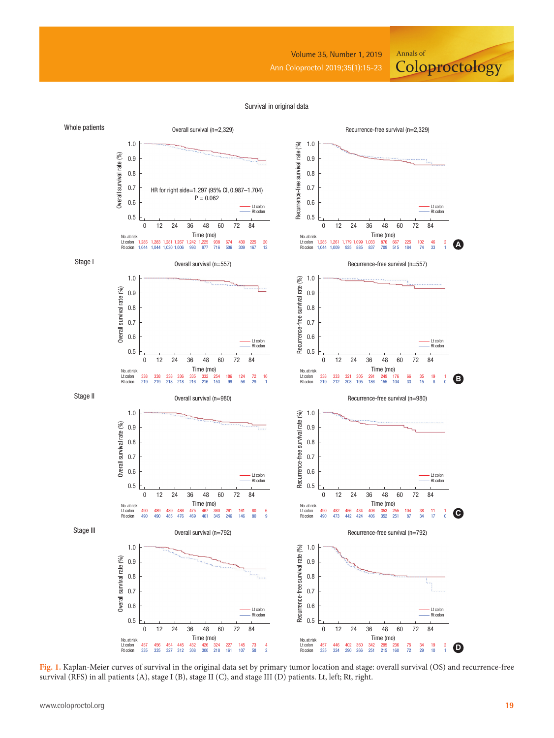Volume 35, Number 1, 2019

Annals of

**Coloproctology** 

#### Survival in original data



**Fig. 1.** Kaplan-Meier curves of survival in the original data set by primary tumor location and stage: overall survival (OS) and recurrence-free survival (RFS) in all patients (A), stage I (B), stage II (C), and stage III (D) patients. Lt, left; Rt, right.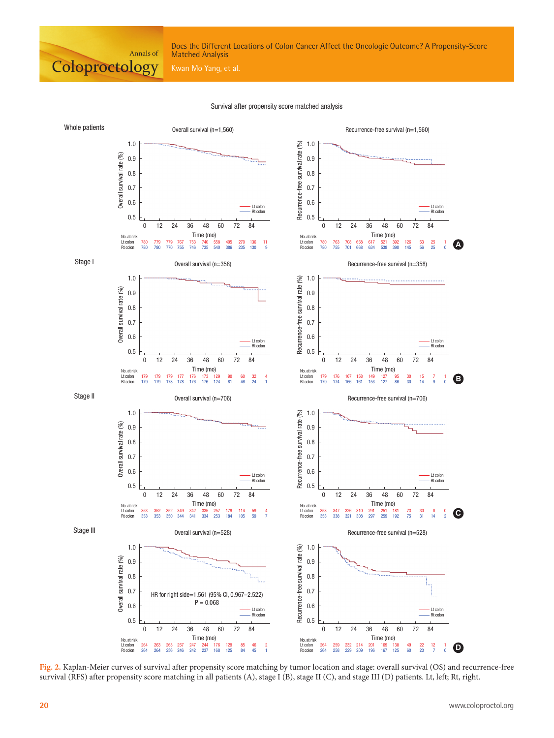

#### Survival after propensity score matched analysis



**Fig. 2.** Kaplan-Meier curves of survival after propensity score matching by tumor location and stage: overall survival (OS) and recurrence-free survival (RFS) after propensity score matching in all patients (A), stage I (B), stage II (C), and stage III (D) patients. Lt, left; Rt, right.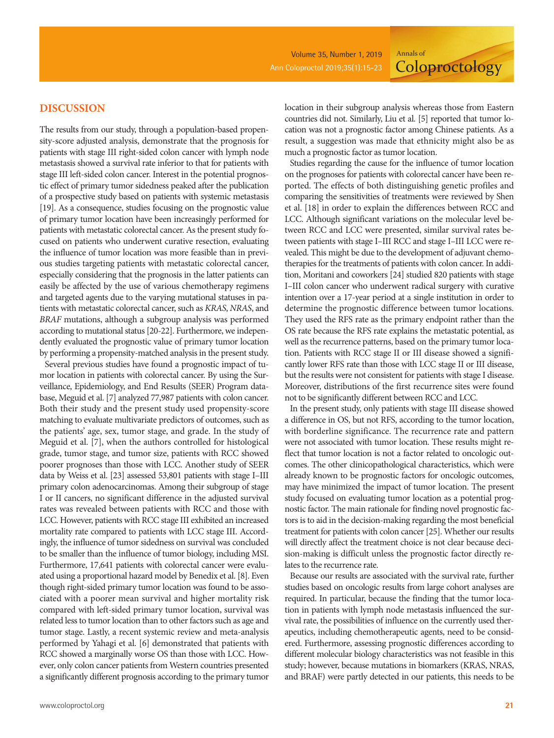**Coloproctology** 

# **DISCUSSION**

The results from our study, through a population-based propensity-score adjusted analysis, demonstrate that the prognosis for patients with stage III right-sided colon cancer with lymph node metastasis showed a survival rate inferior to that for patients with stage III left-sided colon cancer. Interest in the potential prognostic effect of primary tumor sidedness peaked after the publication of a prospective study based on patients with systemic metastasis [19]. As a consequence, studies focusing on the prognostic value of primary tumor location have been increasingly performed for patients with metastatic colorectal cancer. As the present study focused on patients who underwent curative resection, evaluating the influence of tumor location was more feasible than in previous studies targeting patients with metastatic colorectal cancer, especially considering that the prognosis in the latter patients can easily be affected by the use of various chemotherapy regimens and targeted agents due to the varying mutational statuses in patients with metastatic colorectal cancer, such as *KRAS*, *NRAS*, and *BRAF* mutations, although a subgroup analysis was performed according to mutational status [20-22]. Furthermore, we independently evaluated the prognostic value of primary tumor location by performing a propensity-matched analysis in the present study.

Several previous studies have found a prognostic impact of tumor location in patients with colorectal cancer. By using the Surveillance, Epidemiology, and End Results (SEER) Program database, Meguid et al. [7] analyzed 77,987 patients with colon cancer. Both their study and the present study used propensity-score matching to evaluate multivariate predictors of outcomes, such as the patients' age, sex, tumor stage, and grade. In the study of Meguid et al. [7], when the authors controlled for histological grade, tumor stage, and tumor size, patients with RCC showed poorer prognoses than those with LCC. Another study of SEER data by Weiss et al. [23] assessed 53,801 patients with stage I–III primary colon adenocarcinomas. Among their subgroup of stage I or II cancers, no significant difference in the adjusted survival rates was revealed between patients with RCC and those with LCC. However, patients with RCC stage III exhibited an increased mortality rate compared to patients with LCC stage III. Accordingly, the influence of tumor sidedness on survival was concluded to be smaller than the influence of tumor biology, including MSI. Furthermore, 17,641 patients with colorectal cancer were evaluated using a proportional hazard model by Benedix et al. [8]. Even though right-sided primary tumor location was found to be associated with a poorer mean survival and higher mortality risk compared with left-sided primary tumor location, survival was related less to tumor location than to other factors such as age and tumor stage. Lastly, a recent systemic review and meta-analysis performed by Yahagi et al. [6] demonstrated that patients with RCC showed a marginally worse OS than those with LCC. However, only colon cancer patients from Western countries presented a significantly different prognosis according to the primary tumor

location in their subgroup analysis whereas those from Eastern countries did not. Similarly, Liu et al. [5] reported that tumor location was not a prognostic factor among Chinese patients. As a result, a suggestion was made that ethnicity might also be as much a prognostic factor as tumor location.

Annals of

Studies regarding the cause for the influence of tumor location on the prognoses for patients with colorectal cancer have been reported. The effects of both distinguishing genetic profiles and comparing the sensitivities of treatments were reviewed by Shen et al. [18] in order to explain the differences between RCC and LCC. Although significant variations on the molecular level between RCC and LCC were presented, similar survival rates between patients with stage I–III RCC and stage I–III LCC were revealed. This might be due to the development of adjuvant chemotherapies for the treatments of patients with colon cancer. In addition, Moritani and coworkers [24] studied 820 patients with stage I–III colon cancer who underwent radical surgery with curative intention over a 17-year period at a single institution in order to determine the prognostic difference between tumor locations. They used the RFS rate as the primary endpoint rather than the OS rate because the RFS rate explains the metastatic potential, as well as the recurrence patterns, based on the primary tumor location. Patients with RCC stage II or III disease showed a significantly lower RFS rate than those with LCC stage II or III disease, but the results were not consistent for patients with stage I disease. Moreover, distributions of the first recurrence sites were found not to be significantly different between RCC and LCC.

In the present study, only patients with stage III disease showed a difference in OS, but not RFS, according to the tumor location, with borderline significance. The recurrence rate and pattern were not associated with tumor location. These results might reflect that tumor location is not a factor related to oncologic outcomes. The other clinicopathological characteristics, which were already known to be prognostic factors for oncologic outcomes, may have minimized the impact of tumor location. The present study focused on evaluating tumor location as a potential prognostic factor. The main rationale for finding novel prognostic factors is to aid in the decision-making regarding the most beneficial treatment for patients with colon cancer [25]. Whether our results will directly affect the treatment choice is not clear because decision-making is difficult unless the prognostic factor directly relates to the recurrence rate.

Because our results are associated with the survival rate, further studies based on oncologic results from large cohort analyses are required. In particular, because the finding that the tumor location in patients with lymph node metastasis influenced the survival rate, the possibilities of influence on the currently used therapeutics, including chemotherapeutic agents, need to be considered. Furthermore, assessing prognostic differences according to different molecular biology characteristics was not feasible in this study; however, because mutations in biomarkers (KRAS, NRAS, and BRAF) were partly detected in our patients, this needs to be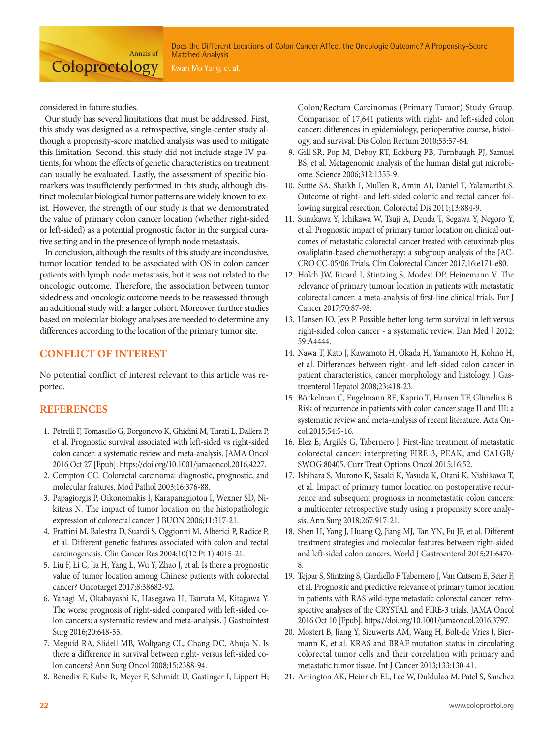considered in future studies.

**Coloproctology** 

Our study has several limitations that must be addressed. First, this study was designed as a retrospective, single-center study although a propensity-score matched analysis was used to mitigate this limitation. Second, this study did not include stage IV patients, for whom the effects of genetic characteristics on treatment can usually be evaluated. Lastly, the assessment of specific biomarkers was insufficiently performed in this study, although distinct molecular biological tumor patterns are widely known to exist. However, the strength of our study is that we demonstrated the value of primary colon cancer location (whether right-sided or left-sided) as a potential prognostic factor in the surgical curative setting and in the presence of lymph node metastasis.

Annals of

In conclusion, although the results of this study are inconclusive, tumor location tended to be associated with OS in colon cancer patients with lymph node metastasis, but it was not related to the oncologic outcome. Therefore, the association between tumor sidedness and oncologic outcome needs to be reassessed through an additional study with a larger cohort. Moreover, further studies based on molecular biology analyses are needed to determine any differences according to the location of the primary tumor site.

# **CONFLICT OF INTEREST**

No potential conflict of interest relevant to this article was reported.

# **REFERENCES**

- 1. Petrelli F, Tomasello G, Borgonovo K, Ghidini M, Turati L, Dallera P, et al. Prognostic survival associated with left-sided vs right-sided colon cancer: a systematic review and meta-analysis. JAMA Oncol 2016 Oct 27 [Epub]. https://doi.org/10.1001/jamaoncol.2016.4227.
- 2. Compton CC. Colorectal carcinoma: diagnostic, prognostic, and molecular features. Mod Pathol 2003;16:376-88.
- 3. Papagiorgis P, Oikonomakis I, Karapanagiotou I, Wexner SD, Nikiteas N. The impact of tumor location on the histopathologic expression of colorectal cancer. J BUON 2006;11:317-21.
- 4. Frattini M, Balestra D, Suardi S, Oggionni M, Alberici P, Radice P, et al. Different genetic features associated with colon and rectal carcinogenesis. Clin Cancer Res 2004;10(12 Pt 1):4015-21.
- 5. Liu F, Li C, Jia H, Yang L, Wu Y, Zhao J, et al. Is there a prognostic value of tumor location among Chinese patients with colorectal cancer? Oncotarget 2017;8:38682-92.
- 6. Yahagi M, Okabayashi K, Hasegawa H, Tsuruta M, Kitagawa Y. The worse prognosis of right-sided compared with left-sided colon cancers: a systematic review and meta-analysis. J Gastrointest Surg 2016;20:648-55.
- 7. Meguid RA, Slidell MB, Wolfgang CL, Chang DC, Ahuja N. Is there a difference in survival between right- versus left-sided colon cancers? Ann Surg Oncol 2008;15:2388-94.
- 8. Benedix F, Kube R, Meyer F, Schmidt U, Gastinger I, Lippert H;

Colon/Rectum Carcinomas (Primary Tumor) Study Group. Comparison of 17,641 patients with right- and left-sided colon cancer: differences in epidemiology, perioperative course, histology, and survival. Dis Colon Rectum 2010;53:57-64.

- 9. Gill SR, Pop M, Deboy RT, Eckburg PB, Turnbaugh PJ, Samuel BS, et al. Metagenomic analysis of the human distal gut microbiome. Science 2006;312:1355-9.
- 10. Suttie SA, Shaikh I, Mullen R, Amin AI, Daniel T, Yalamarthi S. Outcome of right- and left-sided colonic and rectal cancer following surgical resection. Colorectal Dis 2011;13:884-9.
- 11. Sunakawa Y, Ichikawa W, Tsuji A, Denda T, Segawa Y, Negoro Y, et al. Prognostic impact of primary tumor location on clinical outcomes of metastatic colorectal cancer treated with cetuximab plus oxaliplatin-based chemotherapy: a subgroup analysis of the JAC-CRO CC-05/06 Trials. Clin Colorectal Cancer 2017;16:e171-e80.
- 12. Holch JW, Ricard I, Stintzing S, Modest DP, Heinemann V. The relevance of primary tumour location in patients with metastatic colorectal cancer: a meta-analysis of first-line clinical trials. Eur J Cancer 2017;70:87-98.
- 13. Hansen IO, Jess P. Possible better long-term survival in left versus right-sided colon cancer - a systematic review. Dan Med J 2012; 59:A4444.
- 14. Nawa T, Kato J, Kawamoto H, Okada H, Yamamoto H, Kohno H, et al. Differences between right- and left-sided colon cancer in patient characteristics, cancer morphology and histology. J Gastroenterol Hepatol 2008;23:418-23.
- 15. Böckelman C, Engelmann BE, Kaprio T, Hansen TF, Glimelius B. Risk of recurrence in patients with colon cancer stage II and III: a systematic review and meta-analysis of recent literature. Acta Oncol 2015;54:5-16.
- 16. Elez E, Argilés G, Tabernero J. First-line treatment of metastatic colorectal cancer: interpreting FIRE-3, PEAK, and CALGB/ SWOG 80405. Curr Treat Options Oncol 2015;16:52.
- 17. Ishihara S, Murono K, Sasaki K, Yasuda K, Otani K, Nishikawa T, et al. Impact of primary tumor location on postoperative recurrence and subsequent prognosis in nonmetastatic colon cancers: a multicenter retrospective study using a propensity score analysis. Ann Surg 2018;267:917-21.
- 18. Shen H, Yang J, Huang Q, Jiang MJ, Tan YN, Fu JF, et al. Different treatment strategies and molecular features between right-sided and left-sided colon cancers. World J Gastroenterol 2015;21:6470- 8.
- 19. Tejpar S, Stintzing S, Ciardiello F, Tabernero J, Van Cutsem E, Beier F, et al. Prognostic and predictive relevance of primary tumor location in patients with RAS wild-type metastatic colorectal cancer: retrospective analyses of the CRYSTAL and FIRE-3 trials. JAMA Oncol 2016 Oct 10 [Epub]. https://doi.org/10.1001/jamaoncol.2016.3797.
- 20. Mostert B, Jiang Y, Sieuwerts AM, Wang H, Bolt-de Vries J, Biermann K, et al. KRAS and BRAF mutation status in circulating colorectal tumor cells and their correlation with primary and metastatic tumor tissue. Int J Cancer 2013;133:130-41.
- 21. Arrington AK, Heinrich EL, Lee W, Duldulao M, Patel S, Sanchez